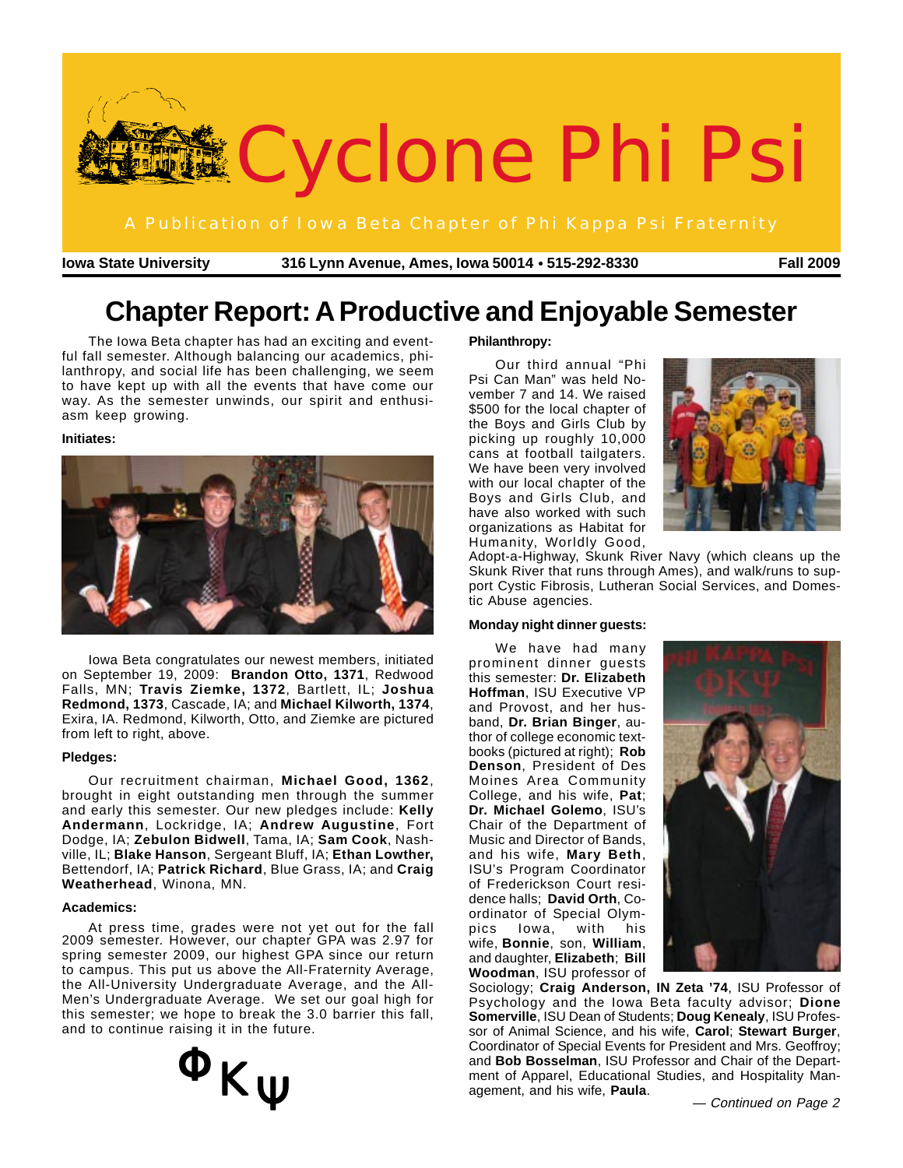

**Iowa State University 316 Lynn Avenue, Ames, Iowa 50014 515-292-8330** ● **Fall 2009**

# **Chapter Report: A Productive and Enjoyable Semester**

The Iowa Beta chapter has had an exciting and eventful fall semester. Although balancing our academics, philanthropy, and social life has been challenging, we seem to have kept up with all the events that have come our way. As the semester unwinds, our spirit and enthusiasm keep growing.

### **Initiates:**



Iowa Beta congratulates our newest members, initiated on September 19, 2009: **Brandon Otto, 1371**, Redwood Falls, MN; **Travis Ziemke, 1372**, Bartlett, IL; **Joshua Redmond, 1373**, Cascade, IA; and **Michael Kilworth, 1374**, Exira, IA. Redmond, Kilworth, Otto, and Ziemke are pictured from left to right, above.

### **Pledges:**

Our recruitment chairman, **Michael Good, 1362**, brought in eight outstanding men through the summer and early this semester. Our new pledges include: **Kelly Andermann**, Lockridge, IA; **Andrew Augustine**, Fort Dodge, IA; **Zebulon Bidwell**, Tama, IA; **Sam Cook**, Nashville, IL; **Blake Hanson**, Sergeant Bluff, IA; **Ethan Lowther,** Bettendorf, IA; **Patrick Richard**, Blue Grass, IA; and **Craig Weatherhead**, Winona, MN.

### **Academics:**

At press time, grades were not yet out for the fall 2009 semester. However, our chapter GPA was 2.97 for spring semester 2009, our highest GPA since our return to campus. This put us above the All-Fraternity Average, the All-University Undergraduate Average, and the All-Men's Undergraduate Average. We set our goal high for this semester; we hope to break the 3.0 barrier this fall, and to continue raising it in the future.

# $\Phi_{K\Psi}$

## **Philanthropy:**

Our third annual "Phi Psi Can Man" was held November 7 and 14. We raised \$500 for the local chapter of the Boys and Girls Club by picking up roughly 10,000 cans at football tailgaters. We have been very involved with our local chapter of the Boys and Girls Club, and have also worked with such organizations as Habitat for Humanity, Worldly Good,



Adopt-a-Highway, Skunk River Navy (which cleans up the Skunk River that runs through Ames), and walk/runs to support Cystic Fibrosis, Lutheran Social Services, and Domestic Abuse agencies.

## **Monday night dinner guests:**

We have had many prominent dinner guests this semester: **Dr. Elizabeth Hoffman**, ISU Executive VP and Provost, and her husband, **Dr. Brian Binger**, author of college economic textbooks (pictured at right); **Rob Denson**, President of Des Moines Area Community College, and his wife, **Pat**; **Dr. Michael Golemo**, ISU's Chair of the Department of Music and Director of Bands, and his wife, **Mary Beth**, ISU's Program Coordinator of Frederickson Court residence halls; **David Orth**, Coordinator of Special Olympics Iowa, with his wife, **Bonnie**, son, **William**, and daughter, **Elizabeth**; **Bill Woodman**, ISU professor of



Sociology; **Craig Anderson, IN Zeta '74**, ISU Professor of Psychology and the Iowa Beta faculty advisor; **Dione Somerville**, ISU Dean of Students; **Doug Kenealy**, ISU Professor of Animal Science, and his wife, **Carol**; **Stewart Burger**, Coordinator of Special Events for President and Mrs. Geoffroy; and **Bob Bosselman**, ISU Professor and Chair of the Department of Apparel, Educational Studies, and Hospitality Management, and his wife, **Paula**. — Continued on Page 2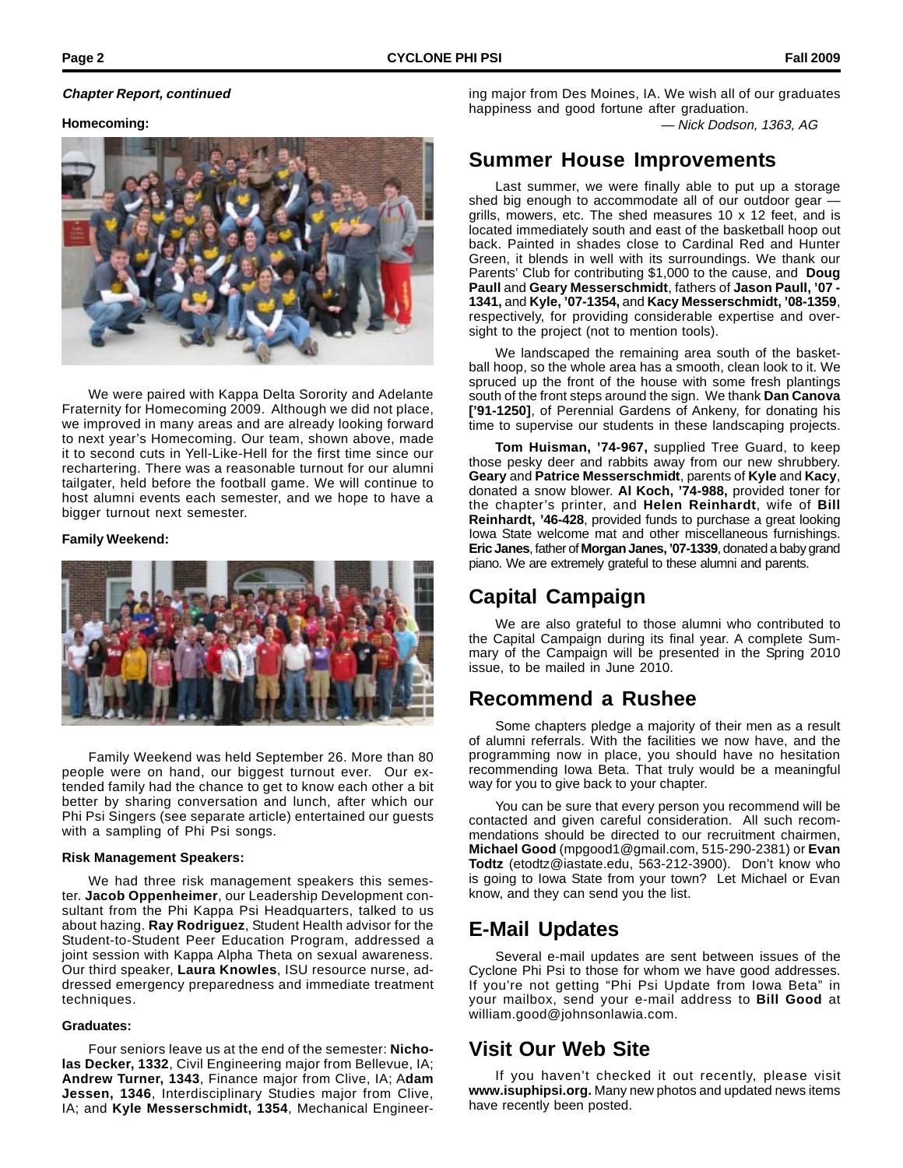## **Chapter Report, continued**

ing major from Des Moines, IA. We wish all of our graduates happiness and good fortune after graduation.

— Nick Dodson, 1363, AG

## **Homecoming:**



We were paired with Kappa Delta Sorority and Adelante Fraternity for Homecoming 2009. Although we did not place, we improved in many areas and are already looking forward to next year's Homecoming. Our team, shown above, made it to second cuts in Yell-Like-Hell for the first time since our rechartering. There was a reasonable turnout for our alumni tailgater, held before the football game. We will continue to host alumni events each semester, and we hope to have a bigger turnout next semester.

## **Family Weekend:**



Family Weekend was held September 26. More than 80 people were on hand, our biggest turnout ever. Our extended family had the chance to get to know each other a bit better by sharing conversation and lunch, after which our Phi Psi Singers (see separate article) entertained our guests with a sampling of Phi Psi songs.

### **Risk Management Speakers:**

We had three risk management speakers this semester. **Jacob Oppenheimer**, our Leadership Development consultant from the Phi Kappa Psi Headquarters, talked to us about hazing. **Ray Rodriguez**, Student Health advisor for the Student-to-Student Peer Education Program, addressed a joint session with Kappa Alpha Theta on sexual awareness. Our third speaker, **Laura Knowles**, ISU resource nurse, addressed emergency preparedness and immediate treatment techniques.

### **Graduates:**

Four seniors leave us at the end of the semester: **Nicholas Decker, 1332**, Civil Engineering major from Bellevue, IA; **Andrew Turner, 1343**, Finance major from Clive, IA; A**dam Jessen, 1346**, Interdisciplinary Studies major from Clive, IA; and **Kyle Messerschmidt, 1354**, Mechanical Engineer-

## **Summer House Improvements**

Last summer, we were finally able to put up a storage shed big enough to accommodate all of our outdoor gear grills, mowers, etc. The shed measures 10 x 12 feet, and is located immediately south and east of the basketball hoop out back. Painted in shades close to Cardinal Red and Hunter Green, it blends in well with its surroundings. We thank our Parents' Club for contributing \$1,000 to the cause, and **Doug Paull** and **Geary Messerschmidt**, fathers of **Jason Paull, '07 - 1341,** and **Kyle, '07-1354,** and **Kacy Messerschmidt, '08-1359**, respectively, for providing considerable expertise and oversight to the project (not to mention tools).

We landscaped the remaining area south of the basketball hoop, so the whole area has a smooth, clean look to it. We spruced up the front of the house with some fresh plantings south of the front steps around the sign. We thank **Dan Canova ['91-1250]**, of Perennial Gardens of Ankeny, for donating his time to supervise our students in these landscaping projects.

**Tom Huisman, '74-967,** supplied Tree Guard, to keep those pesky deer and rabbits away from our new shrubbery. **Geary** and **Patrice Messerschmidt**, parents of **Kyle** and **Kacy**, donated a snow blower. **Al Koch, '74-988,** provided toner for the chapter's printer, and **Helen Reinhardt**, wife of **Bill Reinhardt, '46-428**, provided funds to purchase a great looking Iowa State welcome mat and other miscellaneous furnishings. **Eric Janes**, father of **Morgan Janes, '07-1339**, donated a baby grand piano. We are extremely grateful to these alumni and parents.

## **Capital Campaign**

We are also grateful to those alumni who contributed to the Capital Campaign during its final year. A complete Summary of the Campaign will be presented in the Spring 2010 issue, to be mailed in June 2010.

## **Recommend a Rushee**

Some chapters pledge a majority of their men as a result of alumni referrals. With the facilities we now have, and the programming now in place, you should have no hesitation recommending Iowa Beta. That truly would be a meaningful way for you to give back to your chapter.

You can be sure that every person you recommend will be contacted and given careful consideration. All such recommendations should be directed to our recruitment chairmen, **Michael Good** (mpgood1@gmail.com, 515-290-2381) or **Evan Todtz** (etodtz@iastate.edu, 563-212-3900). Don't know who is going to Iowa State from your town? Let Michael or Evan know, and they can send you the list.

## **E-Mail Updates**

Several e-mail updates are sent between issues of the Cyclone Phi Psi to those for whom we have good addresses. If you're not getting "Phi Psi Update from Iowa Beta" in your mailbox, send your e-mail address to **Bill Good** at william.good@johnsonlawia.com.

## **Visit Our Web Site**

If you haven't checked it out recently, please visit **www.isuphipsi.org.** Many new photos and updated news items have recently been posted.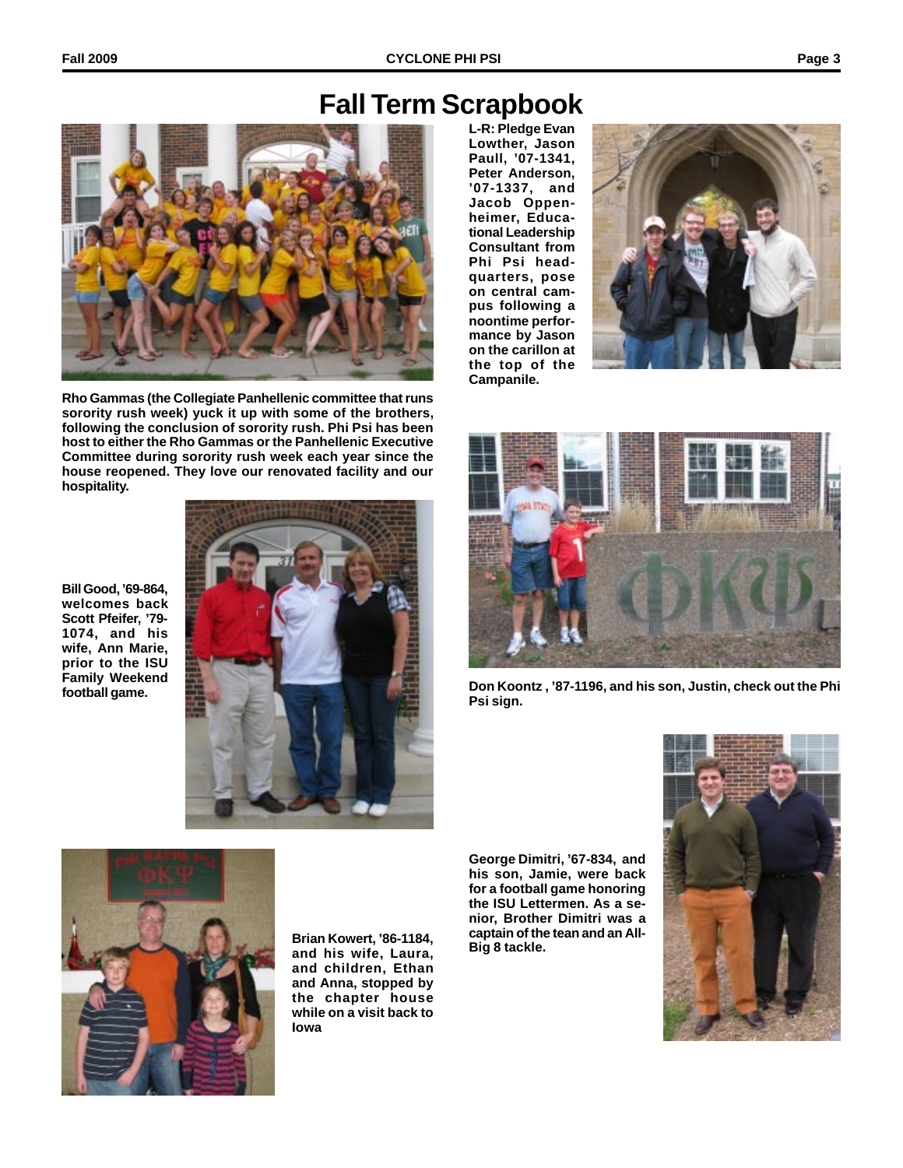# **Fall Term Scrapbook**



**Rho Gammas (the Collegiate Panhellenic committee that runs sorority rush week) yuck it up with some of the brothers, following the conclusion of sorority rush. Phi Psi has been host to either the Rho Gammas or the Panhellenic Executive Committee during sorority rush week each year since the house reopened. They love our renovated facility and our hospitality.**

**Bill Good, '69-864, welcomes back Scott Pfeifer, '79- 1074, and his wife, Ann Marie, prior to the ISU Family Weekend football game.**



**L-R: Pledge Evan Lowther, Jason Paull, '07-1341, Peter Anderson, '07-1337, and Jacob Oppenheimer, Educational Leadership Consultant from Phi Psi headquarters, pose on central campus following a noontime performance by Jason on the carillon at the top of the Campanile.**





**Don Koontz , '87-1196, and his son, Justin, check out the Phi Psi sign.**

**George Dimitri, '67-834, and his son, Jamie, were back for a football game honoring the ISU Lettermen. As a senior, Brother Dimitri was a captain of the tean and an All-**





**Big 8 tackle. Brian Kowert, '86-1184, and his wife, Laura, and children, Ethan and Anna, stopped by the chapter house while on a visit back to Iowa**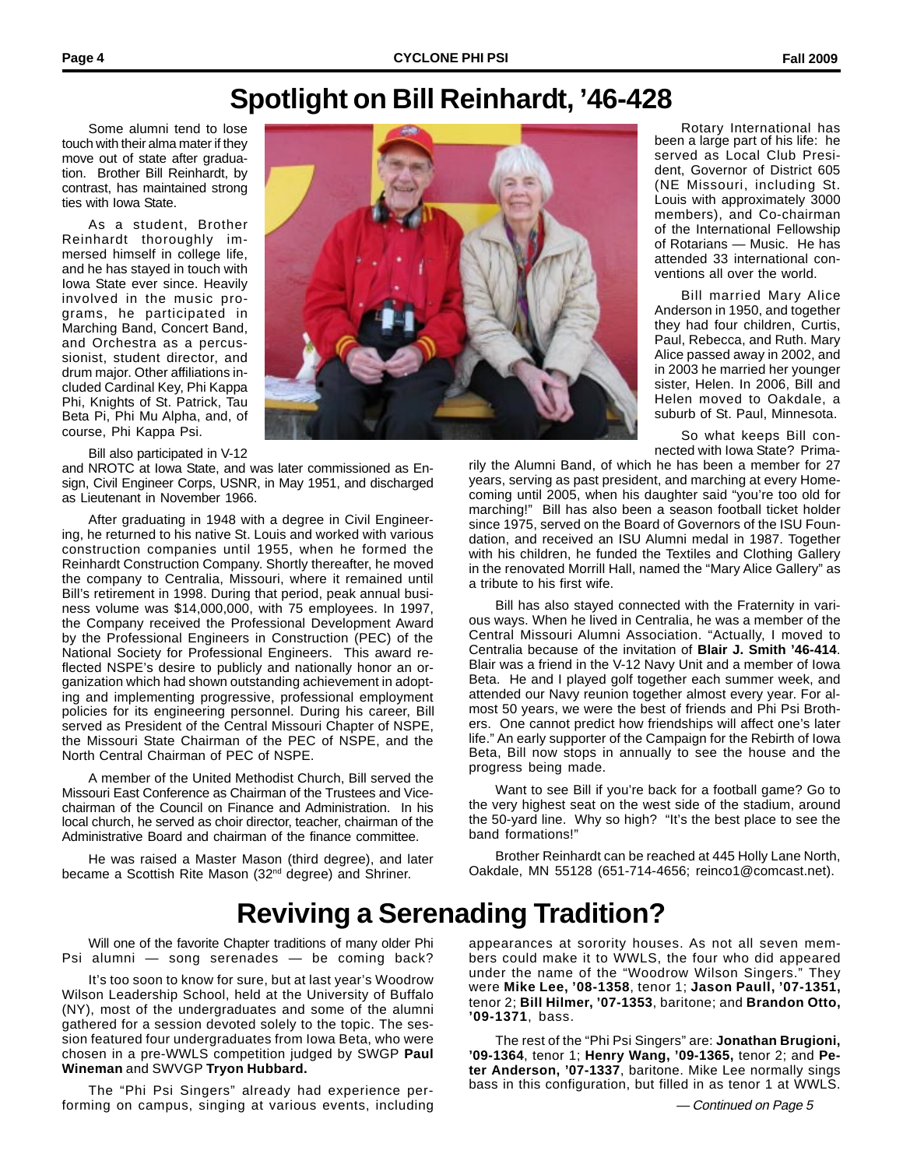Rotary International has been a large part of his life: he served as Local Club President, Governor of District 605 (NE Missouri, including St. Louis with approximately 3000 members), and Co-chairman of the International Fellowship of Rotarians — Music. He has attended 33 international conventions all over the world.

Bill married Mary Alice Anderson in 1950, and together they had four children, Curtis, Paul, Rebecca, and Ruth. Mary Alice passed away in 2002, and in 2003 he married her younger sister, Helen. In 2006, Bill and Helen moved to Oakdale, a

# **Spotlight on Bill Reinhardt, '46-428**

Some alumni tend to lose touch with their alma mater if they move out of state after graduation. Brother Bill Reinhardt, by contrast, has maintained strong ties with Iowa State.

As a student, Brother Reinhardt thoroughly immersed himself in college life, and he has stayed in touch with Iowa State ever since. Heavily involved in the music programs, he participated in Marching Band, Concert Band, and Orchestra as a percussionist, student director, and drum major. Other affiliations included Cardinal Key, Phi Kappa Phi, Knights of St. Patrick, Tau Beta Pi, Phi Mu Alpha, and, of course, Phi Kappa Psi.

Bill also participated in V-12

and NROTC at Iowa State, and was later commissioned as Ensign, Civil Engineer Corps, USNR, in May 1951, and discharged as Lieutenant in November 1966.

After graduating in 1948 with a degree in Civil Engineering, he returned to his native St. Louis and worked with various construction companies until 1955, when he formed the Reinhardt Construction Company. Shortly thereafter, he moved the company to Centralia, Missouri, where it remained until Bill's retirement in 1998. During that period, peak annual business volume was \$14,000,000, with 75 employees. In 1997, the Company received the Professional Development Award by the Professional Engineers in Construction (PEC) of the National Society for Professional Engineers. This award reflected NSPE's desire to publicly and nationally honor an organization which had shown outstanding achievement in adopting and implementing progressive, professional employment policies for its engineering personnel. During his career, Bill served as President of the Central Missouri Chapter of NSPE, the Missouri State Chairman of the PEC of NSPE, and the North Central Chairman of PEC of NSPE.

A member of the United Methodist Church, Bill served the Missouri East Conference as Chairman of the Trustees and Vicechairman of the Council on Finance and Administration. In his local church, he served as choir director, teacher, chairman of the Administrative Board and chairman of the finance committee.

He was raised a Master Mason (third degree), and later became a Scottish Rite Mason (32<sup>nd</sup> degree) and Shriner.



suburb of St. Paul, Minnesota. So what keeps Bill connected with Iowa State? Primarily the Alumni Band, of which he has been a member for 27

years, serving as past president, and marching at every Homecoming until 2005, when his daughter said "you're too old for marching!" Bill has also been a season football ticket holder since 1975, served on the Board of Governors of the ISU Foundation, and received an ISU Alumni medal in 1987. Together with his children, he funded the Textiles and Clothing Gallery in the renovated Morrill Hall, named the "Mary Alice Gallery" as a tribute to his first wife.

Bill has also stayed connected with the Fraternity in various ways. When he lived in Centralia, he was a member of the Central Missouri Alumni Association. "Actually, I moved to Centralia because of the invitation of **Blair J. Smith '46-414**. Blair was a friend in the V-12 Navy Unit and a member of Iowa Beta. He and I played golf together each summer week, and attended our Navy reunion together almost every year. For almost 50 years, we were the best of friends and Phi Psi Brothers. One cannot predict how friendships will affect one's later life." An early supporter of the Campaign for the Rebirth of Iowa Beta, Bill now stops in annually to see the house and the progress being made.

Want to see Bill if you're back for a football game? Go to the very highest seat on the west side of the stadium, around the 50-yard line. Why so high? "It's the best place to see the band formations!"

Brother Reinhardt can be reached at 445 Holly Lane North, Oakdale, MN 55128 (651-714-4656; reinco1@comcast.net).

# **Reviving a Serenading Tradition?**

Will one of the favorite Chapter traditions of many older Phi Psi alumni — song serenades — be coming back?

It's too soon to know for sure, but at last year's Woodrow Wilson Leadership School, held at the University of Buffalo (NY), most of the undergraduates and some of the alumni gathered for a session devoted solely to the topic. The session featured four undergraduates from Iowa Beta, who were chosen in a pre-WWLS competition judged by SWGP **Paul Wineman** and SWVGP **Tryon Hubbard.**

The "Phi Psi Singers" already had experience performing on campus, singing at various events, including appearances at sorority houses. As not all seven members could make it to WWLS, the four who did appeared under the name of the "Woodrow Wilson Singers." They were **Mike Lee, '08-1358**, tenor 1; **Jason Paull, '07-1351,** tenor 2; **Bill Hilmer, '07-1353**, baritone; and **Brandon Otto, '09-1371**, bass.

The rest of the "Phi Psi Singers" are: **Jonathan Brugioni, '09-1364**, tenor 1; **Henry Wang, '09-1365,** tenor 2; and **Peter Anderson, '07-1337**, baritone. Mike Lee normally sings bass in this configuration, but filled in as tenor 1 at WWLS.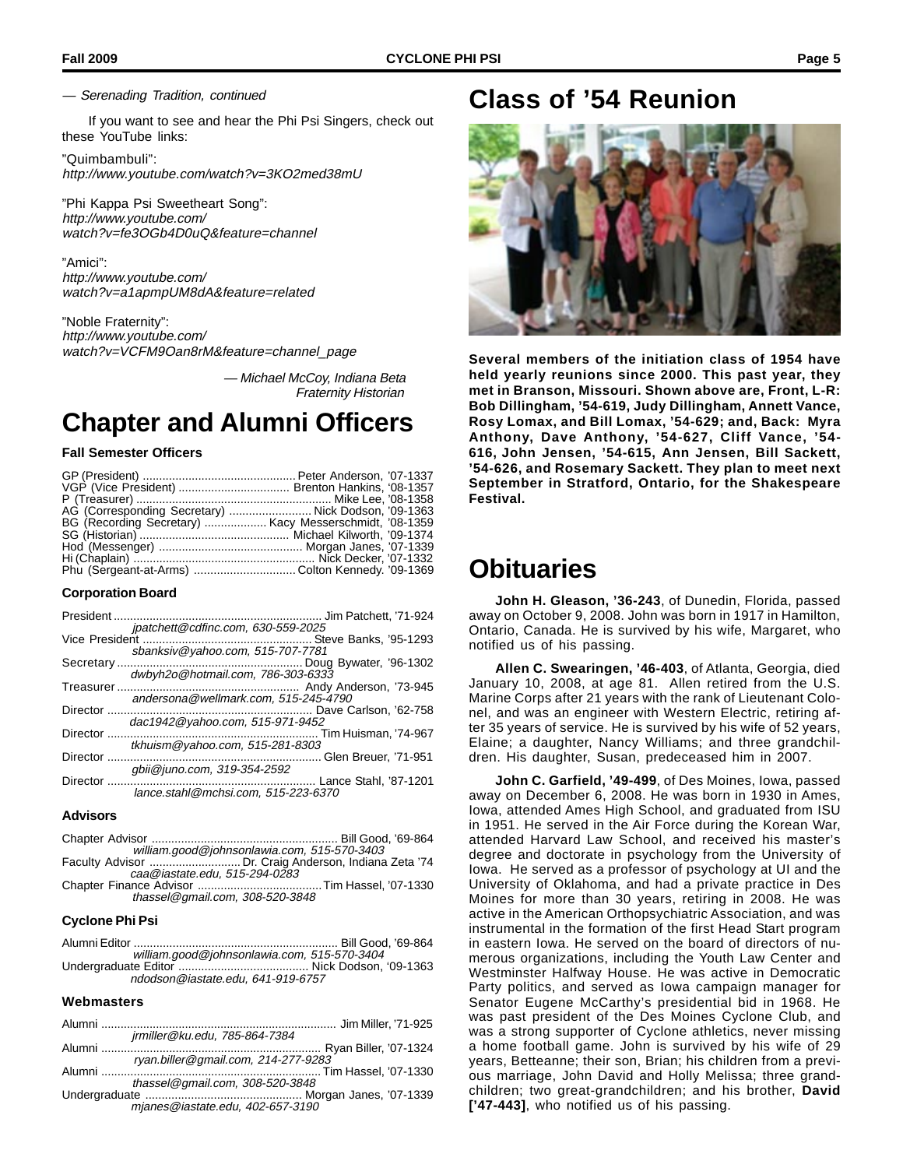— Serenading Tradition, continued

If you want to see and hear the Phi Psi Singers, check out these YouTube links:

"Quimbambuli": http://www.youtube.com/watch?v=3KO2med38mU

"Phi Kappa Psi Sweetheart Song": http://www.youtube.com/ watch?v=fe3OGb4D0uQ&feature=channel

"Amici": http://www.youtube.com/ watch?v=a1apmpUM8dA&feature=related

"Noble Fraternity": http://www.youtube.com/ watch?v=VCFM9Oan8rM&feature=channel\_page

> — Michael McCoy, Indiana Beta Fraternity Historian

# **Chapter and Alumni Officers**

## **Fall Semester Officers**

| AG (Corresponding Secretary)  Nick Dodson, '09-1363    |  |
|--------------------------------------------------------|--|
| BG (Recording Secretary)  Kacy Messerschmidt, '08-1359 |  |
|                                                        |  |
|                                                        |  |
|                                                        |  |
| Phu (Sergeant-at-Arms) Colton Kennedy. '09-1369        |  |

## **Corporation Board**

| President       |                                      |
|-----------------|--------------------------------------|
|                 | jpatchett@cdfinc.com, 630-559-2025   |
|                 |                                      |
|                 | sbanksiv@yahoo.com, 515-707-7781     |
| Secretary       |                                      |
|                 | dwbyh2o@hotmail.com, 786-303-6333    |
|                 |                                      |
|                 | andersona@wellmark.com, 515-245-4790 |
|                 |                                      |
|                 | dac1942@yahoo.com, 515-971-9452      |
| Director        | Tim Huisman. '74-967                 |
|                 | tkhuism@yahoo.com, 515-281-8303      |
| <b>Director</b> | Glen Breuer, '71-951                 |
|                 | abii@juno.com, 319-354-2592          |
| Director        | Lance Stahl, '87-1201                |
|                 | lance.stahl@mchsi.com, 515-223-6370  |
|                 |                                      |

#### **Advisors**

Chapter Advisor ......................................................... Bill Good, '69-864 william.good@johnsonlawia.com, 515-570-3403

Faculty Advisor ............................ Dr. Craig Anderson, Indiana Zeta '74 caa@iastate.edu, 515-294-0283 Chapter Finance Advisor ......................................Tim Hassel, '07-1330

thassel@gmail.com, 308-520-3848

### **Cyclone Phi Psi**

Alumni Editor ............................................................... Bill Good, '69-864 william.good@johnsonlawia.com, 515-570-3404 Undergraduate Editor ........................................ Nick Dodson, '09-1363 ndodson@iastate.edu, 641-919-6757

## **Webmasters**

| jrmiller@ku.edu, 785-864-7384       |  |
|-------------------------------------|--|
|                                     |  |
| ryan.biller@gmail.com, 214-277-9283 |  |
|                                     |  |
| thassel@gmail.com, 308-520-3848     |  |
|                                     |  |
| mjanes@iastate.edu, 402-657-3190    |  |

## **Class of '54 Reunion**



**Several members of the initiation class of 1954 have held yearly reunions since 2000. This past year, they met in Branson, Missouri. Shown above are, Front, L-R: Bob Dillingham, '54-619, Judy Dillingham, Annett Vance, Rosy Lomax, and Bill Lomax, '54-629; and, Back: Myra Anthony, Dave Anthony, '54-627, Cliff Vance, '54- 616, John Jensen, '54-615, Ann Jensen, Bill Sackett, '54-626, and Rosemary Sackett. They plan to meet next September in Stratford, Ontario, for the Shakespeare Festival.**

## **Obituaries**

**John H. Gleason, '36-243**, of Dunedin, Florida, passed away on October 9, 2008. John was born in 1917 in Hamilton, Ontario, Canada. He is survived by his wife, Margaret, who notified us of his passing.

**Allen C. Swearingen, '46-403**, of Atlanta, Georgia, died January 10, 2008, at age 81. Allen retired from the U.S. Marine Corps after 21 years with the rank of Lieutenant Colonel, and was an engineer with Western Electric, retiring after 35 years of service. He is survived by his wife of 52 years, Elaine; a daughter, Nancy Williams; and three grandchildren. His daughter, Susan, predeceased him in 2007.

**John C. Garfield, '49-499**, of Des Moines, Iowa, passed away on December 6, 2008. He was born in 1930 in Ames, Iowa, attended Ames High School, and graduated from ISU in 1951. He served in the Air Force during the Korean War, attended Harvard Law School, and received his master's degree and doctorate in psychology from the University of Iowa. He served as a professor of psychology at UI and the University of Oklahoma, and had a private practice in Des Moines for more than 30 years, retiring in 2008. He was active in the American Orthopsychiatric Association, and was instrumental in the formation of the first Head Start program in eastern Iowa. He served on the board of directors of numerous organizations, including the Youth Law Center and Westminster Halfway House. He was active in Democratic Party politics, and served as Iowa campaign manager for Senator Eugene McCarthy's presidential bid in 1968. He was past president of the Des Moines Cyclone Club, and was a strong supporter of Cyclone athletics, never missing a home football game. John is survived by his wife of 29 years, Betteanne; their son, Brian; his children from a previous marriage, John David and Holly Melissa; three grandchildren; two great-grandchildren; and his brother, **David ['47-443]**, who notified us of his passing.